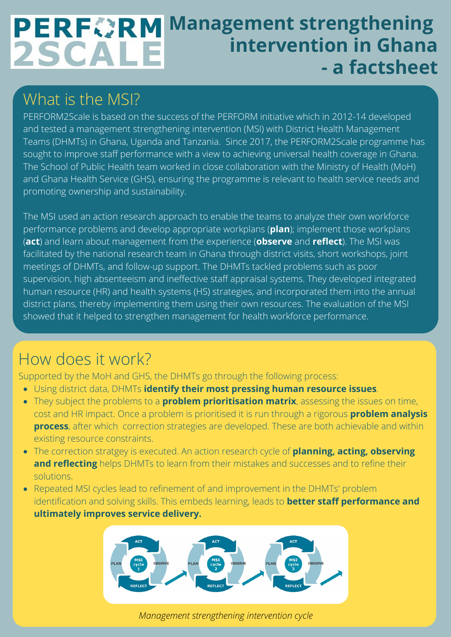## **PERFORM Management strengthening intervention in Ghana 2SCALE - a factsheet**

# What is the MSI?

PERFORM2Scale is based on the success of the PERFORM initiative which in 2012-14 developed and tested a management strengthening intervention (MSI) with District Health Management Teams (DHMTs) in Ghana, Uganda and Tanzania. Since 2017, the PERFORM2Scale programme has sought to improve staff performance with a view to achieving universal health coverage in Ghana. The School of Public Health team worked in close collaboration with the Ministry of Health (MoH) and Ghana Health Service (GHS), ensuring the programme is relevant to health service needs and promoting ownership and sustainability.

The MSI used an action research approach to enable the teams to analyze their own workforce performance problems and develop appropriate workplans (**plan**); implement those workplans (**act**) and learn about management from the experience (**observe** and **reflect**). The MSI was facilitated by the national research team in Ghana through district visits, short workshops, joint meetings of DHMTs, and follow-up support. The DHMTs tackled problems such as poor supervision, high absenteeism and ineffective staff appraisal systems. They developed integrated human resource (HR) and health systems (HS) strategies, and incorporated them into the annual district plans, thereby implementing them using their own resources. The evaluation of the MSI showed that it helped to strengthen management for health workforce performance.

# How does it work?

Supported by the MoH and GHS, the DHMTs go through the following process:

- Using district data, DHMTs **identify their most pressing human resource issues**.
- They subject the problems to a **problem prioritisation matrix**, assessing the issues on time, cost and HR impact. Once a problem is prioritised it is run through a rigorous **problem analysis process**, after which correction strategies are developed. These are both achievable and within existing resource constraints.
- The correction stratgey is executed. An action research cycle of **planning, acting, observing and reflecting** helps DHMTs to learn from their mistakes and successes and to refine their solutions.
- Repeated MSI cycles lead to refinement of and improvement in the DHMTs' problem identification and solving skills. This embeds learning, leads to **better staff performance and ultimately improves service delivery.**



*Management strengthening intervention cycle*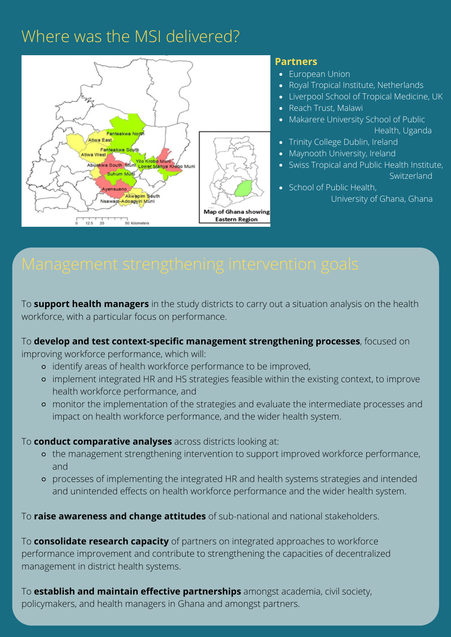# Where was the MSI delivered?



### **Partners**

- **European Union**
- Royal Tropical Institute, Netherlands
- Liverpool School of Tropical Medicine, UK
- Reach Trust, Malawi
- Makarere University School of Public Health, Uganda
- Trinity College Dublin, Ireland
- Maynooth University, Ireland
- Swiss Tropical and Public Health Institute, Switzerland
- School of Public Health, University of Ghana, Ghana

To **support health managers** in the study districts to carry out a situation analysis on the health workforce, with a particular focus on performance.

### To **develop and test context-specific management strengthening processes**, focused on

improving workforce performance, which will:

- identify areas of health workforce performance to be improved,
- implement integrated HR and HS strategies feasible within the existing context, to improve health workforce performance, and
- monitor the implementation of the strategies and evaluate the intermediate processes and impact on health workforce performance, and the wider health system.

### To **conduct comparative analyses** across districts looking at:

- the management strengthening intervention to support improved workforce performance, and
- processes of implementing the integrated HR and health systems strategies and intended and unintended effects on health workforce performance and the wider health system.

To **raise awareness and change attitudes** of sub-national and national stakeholders.

To **consolidate research capacity** of partners on integrated approaches to workforce performance improvement and contribute to strengthening the capacities of decentralized management in district health systems.

To **establish and maintain effective partnerships** amongst academia, civil society, policymakers, and health managers in Ghana and amongst partners.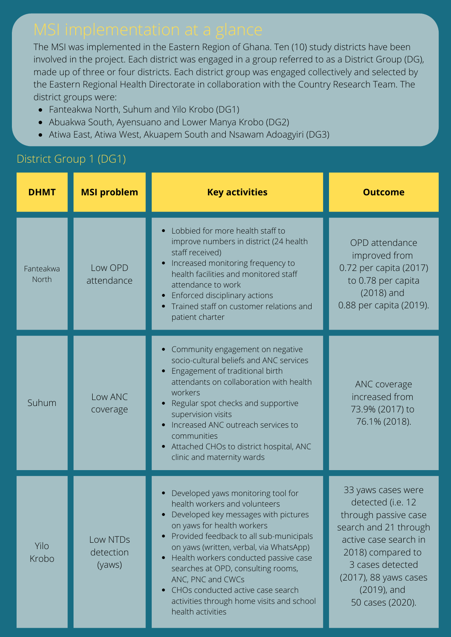The MSI was implemented in the Eastern Region of Ghana. Ten (10) study districts have been involved in the project. Each district was engaged in a group referred to as a District Group (DG), made up of three or four districts. Each district group was engaged collectively and selected by the Eastern Regional Health Directorate in collaboration with the Country Research Team. The district groups were:

- Fanteakwa North, Suhum and Yilo Krobo (DG1)
- Abuakwa South, Ayensuano and Lower Manya Krobo (DG2)
- Atiwa East, Atiwa West, Akuapem South and Nsawam Adoagyiri (DG3)

### District Group 1 (DG1)

| <b>DHMT</b>        | <b>MSI problem</b>              | <b>Key activities</b>                                                                                                                                                                                                                                                                                                                                                                                                                      | <b>Outcome</b>                                                                                                                                                                                                            |
|--------------------|---------------------------------|--------------------------------------------------------------------------------------------------------------------------------------------------------------------------------------------------------------------------------------------------------------------------------------------------------------------------------------------------------------------------------------------------------------------------------------------|---------------------------------------------------------------------------------------------------------------------------------------------------------------------------------------------------------------------------|
| Fanteakwa<br>North | Low OPD<br>attendance           | Lobbied for more health staff to<br>improve numbers in district (24 health<br>staff received)<br>Increased monitoring frequency to<br>health facilities and monitored staff<br>attendance to work<br>Enforced disciplinary actions<br>Trained staff on customer relations and<br>patient charter                                                                                                                                           | OPD attendance<br>improved from<br>0.72 per capita (2017)<br>to 0.78 per capita<br>$(2018)$ and<br>0.88 per capita (2019).                                                                                                |
| Suhum              | Low ANC<br>coverage             | Community engagement on negative<br>socio-cultural beliefs and ANC services<br>Engagement of traditional birth<br>attendants on collaboration with health<br>workers<br>Regular spot checks and supportive<br>supervision visits<br>Increased ANC outreach services to<br>communities<br>Attached CHOs to district hospital, ANC<br>clinic and maternity wards                                                                             | ANC coverage<br>increased from<br>73.9% (2017) to<br>76.1% (2018).                                                                                                                                                        |
| Yilo<br>Krobo      | Low NTDs<br>detection<br>(yaws) | Developed yaws monitoring tool for<br>health workers and volunteers<br>Developed key messages with pictures<br>on yaws for health workers<br>Provided feedback to all sub-municipals<br>on yaws (written, verbal, via WhatsApp)<br>Health workers conducted passive case<br>searches at OPD, consulting rooms,<br>ANC, PNC and CWCs<br>CHOs conducted active case search<br>activities through home visits and school<br>health activities | 33 yaws cases were<br>detected (i.e. 12<br>through passive case<br>search and 21 through<br>active case search in<br>2018) compared to<br>3 cases detected<br>(2017), 88 yaws cases<br>$(2019)$ , and<br>50 cases (2020). |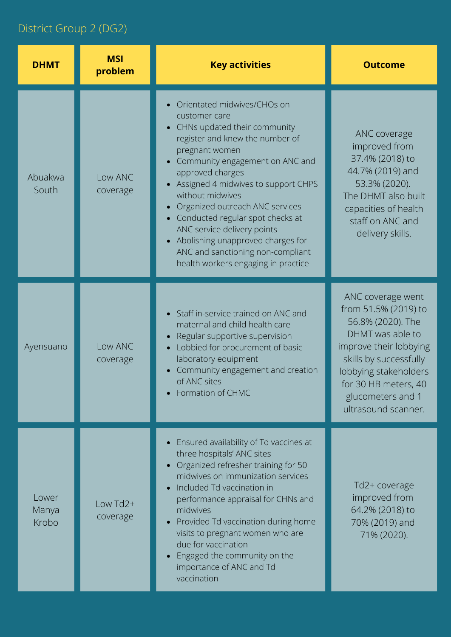# District Group 2 (DG2)

| <b>DHMT</b>             | <b>MSI</b><br>problem  | <b>Key activities</b>                                                                                                                                                                                                                                                                                                                                                                                                                                                        | <b>Outcome</b>                                                                                                                                                                                                                      |
|-------------------------|------------------------|------------------------------------------------------------------------------------------------------------------------------------------------------------------------------------------------------------------------------------------------------------------------------------------------------------------------------------------------------------------------------------------------------------------------------------------------------------------------------|-------------------------------------------------------------------------------------------------------------------------------------------------------------------------------------------------------------------------------------|
| Abuakwa<br>South        | Low ANC<br>coverage    | Orientated midwives/CHOs on<br>customer care<br>CHNs updated their community<br>register and knew the number of<br>pregnant women<br>Community engagement on ANC and<br>approved charges<br>• Assigned 4 midwives to support CHPS<br>without midwives<br>Organized outreach ANC services<br>Conducted regular spot checks at<br>ANC service delivery points<br>Abolishing unapproved charges for<br>ANC and sanctioning non-compliant<br>health workers engaging in practice | ANC coverage<br>improved from<br>37.4% (2018) to<br>44.7% (2019) and<br>53.3% (2020).<br>The DHMT also built<br>capacities of health<br>staff on ANC and<br>delivery skills.                                                        |
| Ayensuano               | Low ANC<br>coverage    | Staff in-service trained on ANC and<br>maternal and child health care<br>Regular supportive supervision<br>Lobbied for procurement of basic<br>laboratory equipment<br>Community engagement and creation<br>of ANC sites<br>Formation of CHMC                                                                                                                                                                                                                                | ANC coverage went<br>from 51.5% (2019) to<br>56.8% (2020). The<br>DHMT was able to<br>improve their lobbying<br>skills by successfully<br>lobbying stakeholders<br>for 30 HB meters, 40<br>glucometers and 1<br>ultrasound scanner. |
| Lower<br>Manya<br>Krobo | Low $Td2+$<br>coverage | Ensured availability of Td vaccines at<br>three hospitals' ANC sites<br>Organized refresher training for 50<br>midwives on immunization services<br>Included Td vaccination in<br>performance appraisal for CHNs and<br>midwives<br>Provided Td vaccination during home<br>visits to pregnant women who are<br>due for vaccination<br>Engaged the community on the<br>importance of ANC and Td<br>vaccination                                                                | Td2+ coverage<br>improved from<br>64.2% (2018) to<br>70% (2019) and<br>71% (2020).                                                                                                                                                  |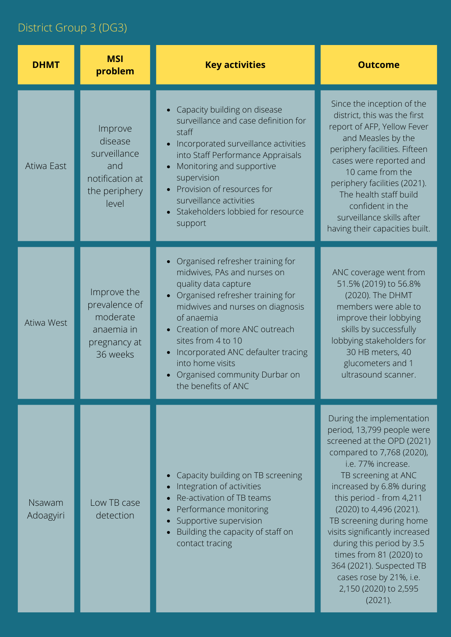## District Group 3 (DG3)

| <b>DHMT</b>                | <b>MSI</b><br>problem                                                                  | <b>Key activities</b>                                                                                                                                                                                                                                                                                                                                    | <b>Outcome</b>                                                                                                                                                                                                                                                                                                                                                                                                                                                         |
|----------------------------|----------------------------------------------------------------------------------------|----------------------------------------------------------------------------------------------------------------------------------------------------------------------------------------------------------------------------------------------------------------------------------------------------------------------------------------------------------|------------------------------------------------------------------------------------------------------------------------------------------------------------------------------------------------------------------------------------------------------------------------------------------------------------------------------------------------------------------------------------------------------------------------------------------------------------------------|
| Atiwa East                 | Improve<br>disease<br>surveillance<br>and<br>notification at<br>the periphery<br>level | Capacity building on disease<br>surveillance and case definition for<br>staff<br>Incorporated surveillance activities<br>into Staff Performance Appraisals<br>Monitoring and supportive<br>supervision<br>Provision of resources for<br>surveillance activities<br>• Stakeholders lobbied for resource<br>support                                        | Since the inception of the<br>district, this was the first<br>report of AFP, Yellow Fever<br>and Measles by the<br>periphery facilities. Fifteen<br>cases were reported and<br>10 came from the<br>periphery facilities (2021).<br>The health staff build<br>confident in the<br>surveillance skills after<br>having their capacities built.                                                                                                                           |
| Atiwa West                 | Improve the<br>prevalence of<br>moderate<br>anaemia in<br>pregnancy at<br>36 weeks     | Organised refresher training for<br>midwives, PAs and nurses on<br>quality data capture<br>Organised refresher training for<br>midwives and nurses on diagnosis<br>of anaemia<br>• Creation of more ANC outreach<br>sites from 4 to 10<br>Incorporated ANC defaulter tracing<br>into home visits<br>Organised community Durbar on<br>the benefits of ANC | ANC coverage went from<br>51.5% (2019) to 56.8%<br>(2020). The DHMT<br>members were able to<br>improve their lobbying<br>skills by successfully<br>lobbying stakeholders for<br>30 HB meters, 40<br>glucometers and 1<br>ultrasound scanner.                                                                                                                                                                                                                           |
| <b>Nsawam</b><br>Adoagyiri | Low TB case<br>detection                                                               | Capacity building on TB screening<br>Integration of activities<br>Re-activation of TB teams<br>Performance monitoring<br>Supportive supervision<br>Building the capacity of staff on<br>contact tracing                                                                                                                                                  | During the implementation<br>period, 13,799 people were<br>screened at the OPD (2021)<br>compared to 7,768 (2020),<br>i.e. 77% increase.<br>TB screening at ANC<br>increased by 6.8% during<br>this period - from 4,211<br>(2020) to 4,496 (2021).<br>TB screening during home<br>visits significantly increased<br>during this period by 3.5<br>times from 81 (2020) to<br>364 (2021). Suspected TB<br>cases rose by 21%, i.e.<br>2,150 (2020) to 2,595<br>$(2021)$ . |